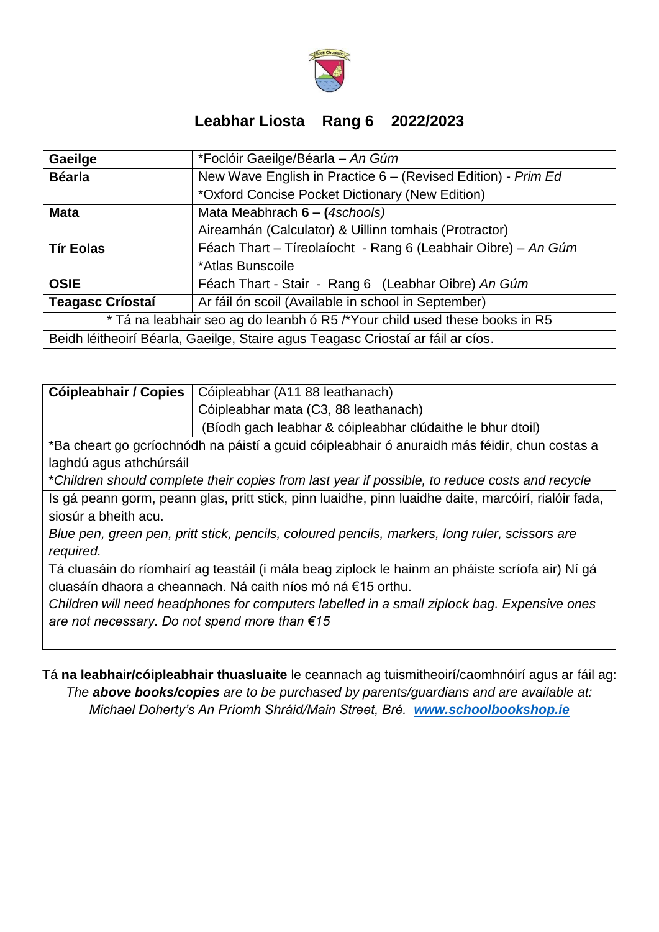

## **Leabhar Liosta Rang 6 2022/2023**

| Gaeilge                                                                         | *Foclóir Gaeilge/Béarla - An Gúm                              |  |
|---------------------------------------------------------------------------------|---------------------------------------------------------------|--|
| <b>Béarla</b>                                                                   | New Wave English in Practice 6 - (Revised Edition) - Prim Ed  |  |
|                                                                                 | *Oxford Concise Pocket Dictionary (New Edition)               |  |
| <b>Mata</b>                                                                     | Mata Meabhrach 6 - (4schools)                                 |  |
|                                                                                 | Aireamhán (Calculator) & Uillinn tomhais (Protractor)         |  |
| <b>Tír Eolas</b>                                                                | Féach Thart - Tíreolaíocht - Rang 6 (Leabhair Oibre) - An Gúm |  |
|                                                                                 | *Atlas Bunscoile                                              |  |
| <b>OSIE</b>                                                                     | Féach Thart - Stair - Rang 6 (Leabhar Oibre) An Gúm           |  |
| <b>Teagasc Críostaí</b>                                                         | Ar fáil ón scoil (Available in school in September)           |  |
| * Tá na leabhair seo ag do leanbh ó R5 /*Your child used these books in R5      |                                                               |  |
| Beidh léitheoirí Béarla, Gaeilge, Staire agus Teagasc Criostaí ar fáil ar cíos. |                                                               |  |

| Cóipleabhair / Copies   Cóipleabhar (A11 88 leathanach)    |
|------------------------------------------------------------|
| Cóipleabhar mata (C3, 88 leathanach)                       |
| (Bíodh gach leabhar & cóipleabhar clúdaithe le bhur dtoil) |

\*Ba cheart go gcríochnódh na páistí a gcuid cóipleabhair ó anuraidh más féidir, chun costas a laghdú agus athchúrsáil

\**Children should complete their copies from last year if possible, to reduce costs and recycle*

Is gá peann gorm, peann glas, pritt stick, pinn luaidhe, pinn luaidhe daite, marcóirí, rialóir fada, siosúr a bheith acu.

*Blue pen, green pen, pritt stick, pencils, coloured pencils, markers, long ruler, scissors are required.*

Tá cluasáin do ríomhairí ag teastáil (i mála beag ziplock le hainm an pháiste scríofa air) Ní gá cluasáín dhaora a cheannach. Ná caith níos mó ná €15 orthu.

*Children will need headphones for computers labelled in a small ziplock bag. Expensive ones are not necessary. Do not spend more than €15*

Tá **na leabhair/cóipleabhair thuasluaite** le ceannach ag tuismitheoirí/caomhnóirí agus ar fáil ag: *The above books/copies are to be purchased by parents/guardians and are available at: Michael Doherty's An Príomh Shráid/Main Street, Bré. [www.schoolbookshop.ie](http://www.schoolbookshop.ie/)*